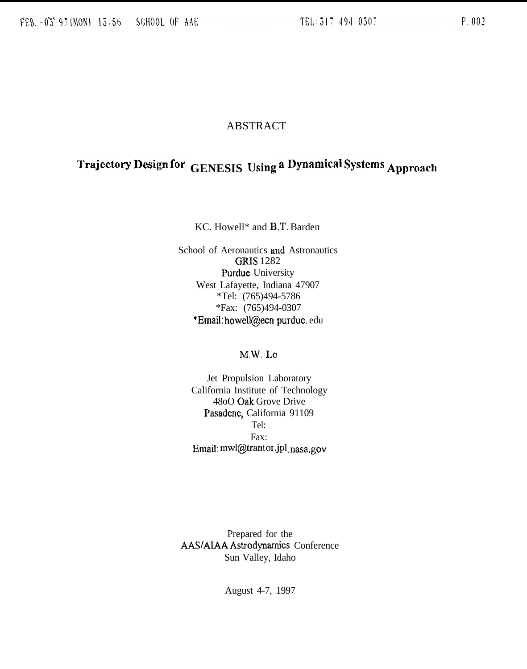## **ABSTRACT**

# Trajectory Design for GENESIS Using a Dynamical Systems Approach

KC. Howell\* and B.T. Barden

School of Aeronautics and Astronautics **GRIS 1282 Purdue** University West Lafayette, Indiana 47907 \*Tel:  $(765)494-5786$ \*Fax: (765)494-0307 \*Email: howell@ecn.purdue.edu

## M.W. Lo

Jet Propulsion Laboratory California Institute of Technology 48oO Oak Grove Drive Pasadene, California 91109 Tel: Fax: Email: mwl@trantor.jpl.nasa.gov

Prepared for the AAS/AIAA Astrodynamics Conference Sun Valley, Idaho

August 4-7, 1997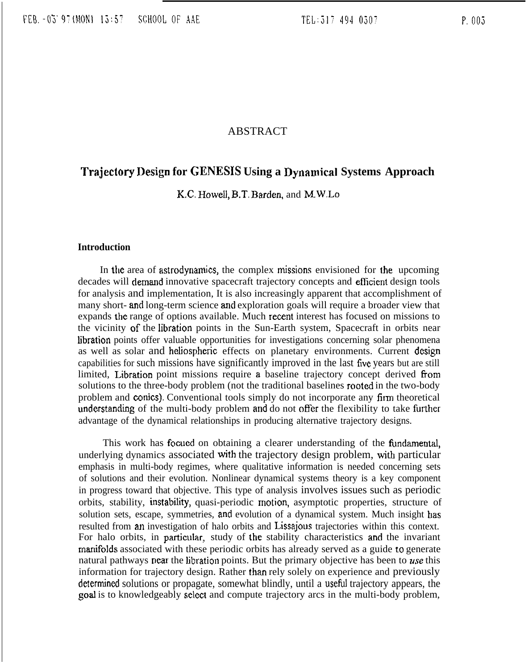### ABSTRACT

## **Trajectory** Design **for GENESIS Using a Dynamical Systems Approach**

K.C. Howell, B.T. Barden, and M.W.Lo

#### **Introduction**

In the area of astrodynamics, the complex missions envisioned for the upcoming decades will demand innovative spacecraft trajectory concepts and efficient design tools for analysis and implementation, It is also increasingly apparent that accomplishment of many short- and long-term science and exploration goals will require a broader view that expands the range of options available. Much recent interest has focused on missions to the vicinity of the Iibration points in the Sun-Earth system, Spacecraft in orbits near libration points offer valuable opportunities for investigations concerning solar phenomena as well as solar and heliosphenc effects on planetary environments. Current design capabilities for such missions have significantly improved in the last **five** years but are still limited, Libration point missions require a baseline trajectory concept derived from solutions to the three-body problem (not the traditional baselines rooted in the two-body problem and conics). Conventional tools simply do not incorporate any firm theoretical understanding of the multi-body problem and do not offer the flexibility to take further advantage of the dynamical relationships in producing alternative trajectory designs.

This work has focued on obtaining a clearer understanding of the fimdamental, underlying dynamics associated with the trajectory design problem, with particular emphasis in multi-body regimes, where qualitative information is needed concerning sets of solutions and their evolution. Nonlinear dynamical systems theory is a key component in progress toward that objective. This type of analysis involves issues such as periodic orbits, stability, instability, quasi-periodic motion, asymptotic properties, structure of solution sets, escape, symmetries, and evolution of a dynamical system. Much insight has resulted from an investigation of halo orbits and Lissajous trajectories within this context. For halo orbits, in particular, study of the stability characteristics and the invariant manifolds associated with these periodic orbits has already served as a guide to generate natural pathways near the libration points. But the primary objective has been to use this information for trajectory design. Rather than rely solely on experience and previously determined solutions or propagate, somewhat blindly, until a useful trajectory appears, the goal is to knowledgeably seleet and compute trajectory arcs in the multi-body problem,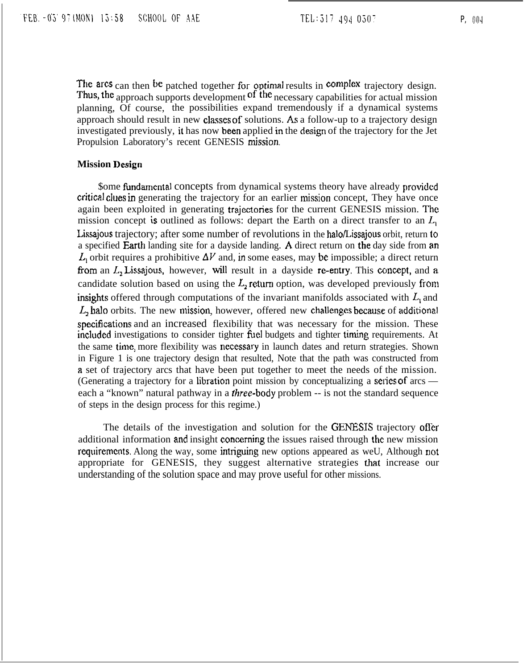$TEL:517$  494 0507 P, 004

The arcs can then be patched together for optimal results in complex trajectory design. Thus, the approach supports development <sup>of the</sup> necessary capabilities for actual mission planning, Of course, the possibilities expand tremendously if a dynamical systems approach should result in new classes of solutions. As a follow-up to a trajectory design investigated previously, it has now been applied in the design of the trajectory for the Jet Propulsion Laboratory's recent GENESIS nission.

#### **Mission Design**

\$ome fundamental concepts from dynamical systems theory have already provided critical clues in generating the trajectory for an earlier mission concept, They have once again been exploited in generating trajectories for the current GENESIS mission. The mission concept is outlined as follows: depart the Earth on a direct transfer to an  $L<sub>1</sub>$ Lissajous trajectory; after some number of revolutions in the halo/Lissajous orbit, return to a specified Earth landing site for a dayside landing. A direct return on the day side from an  $L_1$  orbit requires a prohibitive  $\Delta V$  and, in some eases, may be impossible; a direct return from an  $L<sub>2</sub>$  Lissajous, however, will result in a dayside re-entry. This concept, and a candidate solution based on using the  $L<sub>2</sub>$  return option, was developed previously from insights offered through computations of the invariant manifolds associated with  $L_1$  and  $L<sub>2</sub>$  halo orbits. The new mission, however, offered new challenges because of additional specifications and an increased flexibility that was necessary for the mission. These included investigations to consider tighter fuel budgets and tighter timing requirements. At the same time, more flexibility was necessary in launch dates and return strategies. Shown in Figure 1 is one trajectory design that resulted, Note that the path was constructed from a set of trajectory arcs that have been put together to meet the needs of the mission. (Generating a trajectory for a libration point mission by conceptualizing a series of arcs each a "known" natural pathway in a *three*-body problem -- is not the standard sequence of steps in the design process for this regime.)

The details of the investigation and solution for the GENESIS trajectory offer additional information and insight concerning the issues raised through the new mission requirements. Along the way, some intriguing new options appeared as weU, Although not appropriate for GENESIS, they suggest alternative strategies that increase our understanding of the solution space and may prove useful for other missions.